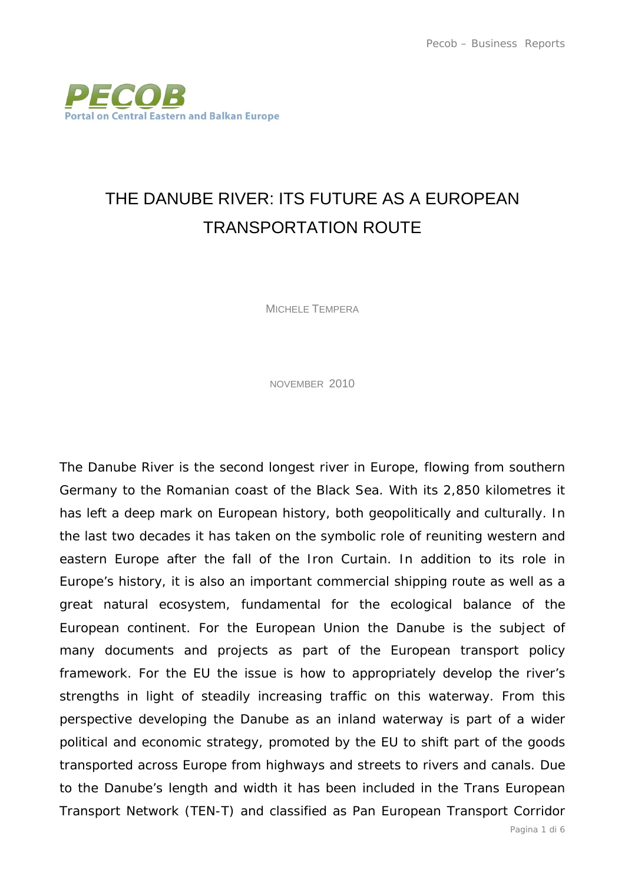

## THE DANUBE RIVER: ITS FUTURE AS A EUROPEAN TRANSPORTATION ROUTE

MICHELE TEMPERA

NOVEMBER 2010

The Danube River is the second longest river in Europe, flowing from southern Germany to the Romanian coast of the Black Sea. With its 2,850 kilometres it has left a deep mark on European history, both geopolitically and culturally. In the last two decades it has taken on the symbolic role of reuniting western and eastern Europe after the fall of the Iron Curtain. In addition to its role in Europe's history, it is also an important commercial shipping route as well as a great natural ecosystem, fundamental for the ecological balance of the European continent. For the European Union the Danube is the subject of many documents and projects as part of the European transport policy framework. For the EU the issue is how to appropriately develop the river's strengths in light of steadily increasing traffic on this waterway. From this perspective developing the Danube as an inland waterway is part of a wider political and economic strategy, promoted by the EU to shift part of the goods transported across Europe from highways and streets to rivers and canals. Due to the Danube's length and width it has been included in the Trans European Transport Network (TEN-T) and classified as Pan European Transport Corridor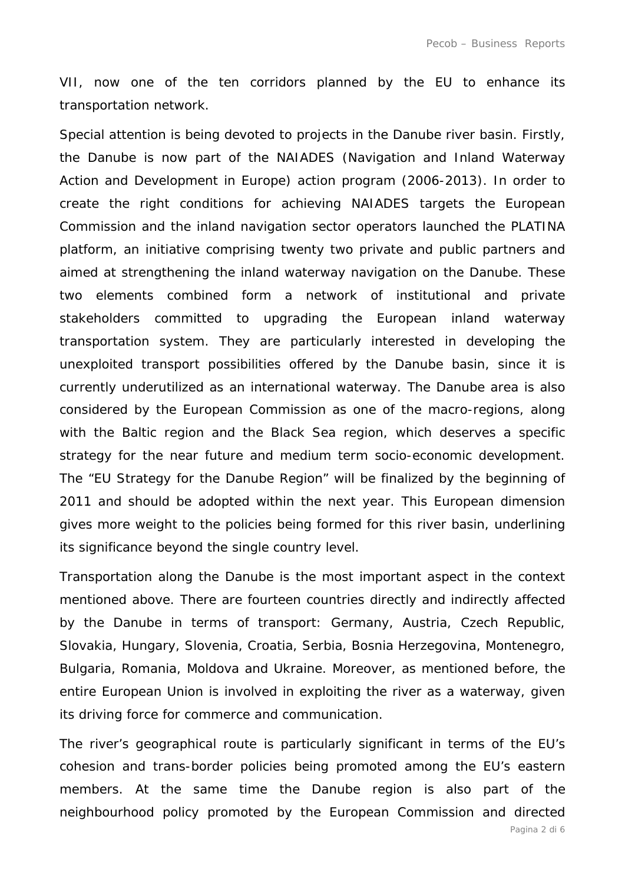VII, now one of the ten corridors planned by the EU to enhance its transportation network.

Special attention is being devoted to projects in the Danube river basin. Firstly, the Danube is now part of the NAIADES (Navigation and Inland Waterway Action and Development in Europe) action program (2006-2013). In order to create the right conditions for achieving NAIADES targets the European Commission and the inland navigation sector operators launched the PLATINA platform, an initiative comprising twenty two private and public partners and aimed at strengthening the inland waterway navigation on the Danube. These two elements combined form a network of institutional and private stakeholders committed to upgrading the European inland waterway transportation system. They are particularly interested in developing the unexploited transport possibilities offered by the Danube basin, since it is currently underutilized as an international waterway. The Danube area is also considered by the European Commission as one of the macro-regions, along with the Baltic region and the Black Sea region, which deserves a specific strategy for the near future and medium term socio-economic development. The "EU Strategy for the Danube Region" will be finalized by the beginning of 2011 and should be adopted within the next year. This European dimension gives more weight to the policies being formed for this river basin, underlining its significance beyond the single country level.

Transportation along the Danube is the most important aspect in the context mentioned above. There are fourteen countries directly and indirectly affected by the Danube in terms of transport: Germany, Austria, Czech Republic, Slovakia, Hungary, Slovenia, Croatia, Serbia, Bosnia Herzegovina, Montenegro, Bulgaria, Romania, Moldova and Ukraine. Moreover, as mentioned before, the entire European Union is involved in exploiting the river as a waterway, given its driving force for commerce and communication.

The river's geographical route is particularly significant in terms of the EU's cohesion and trans-border policies being promoted among the EU's eastern members. At the same time the Danube region is also part of the neighbourhood policy promoted by the European Commission and directed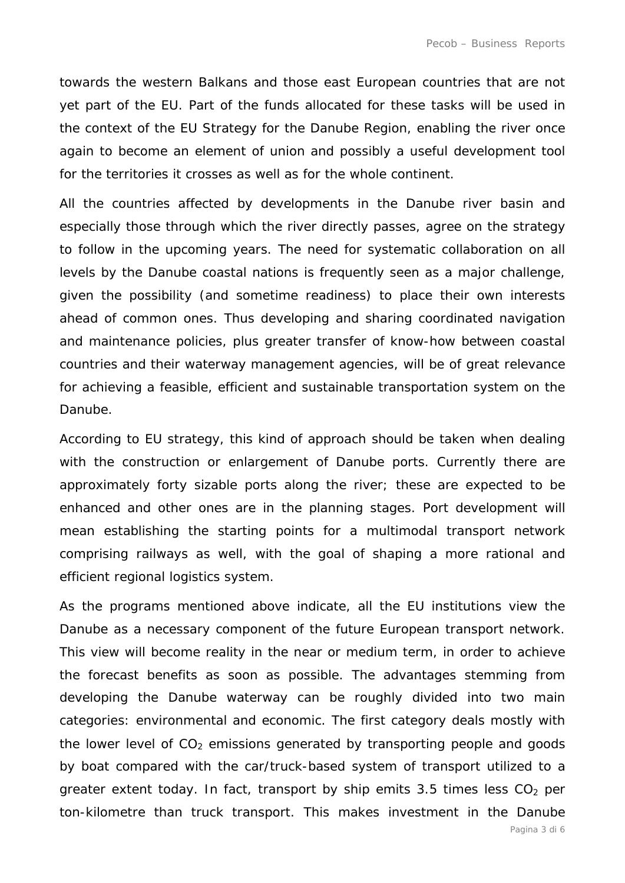towards the western Balkans and those east European countries that are not yet part of the EU. Part of the funds allocated for these tasks will be used in the context of the EU Strategy for the Danube Region, enabling the river once again to become an element of union and possibly a useful development tool for the territories it crosses as well as for the whole continent.

All the countries affected by developments in the Danube river basin and especially those through which the river directly passes, agree on the strategy to follow in the upcoming years. The need for systematic collaboration on all levels by the Danube coastal nations is frequently seen as a major challenge, given the possibility (and sometime readiness) to place their own interests ahead of common ones. Thus developing and sharing coordinated navigation and maintenance policies, plus greater transfer of know-how between coastal countries and their waterway management agencies, will be of great relevance for achieving a feasible, efficient and sustainable transportation system on the Danube.

According to EU strategy, this kind of approach should be taken when dealing with the construction or enlargement of Danube ports. Currently there are approximately forty sizable ports along the river; these are expected to be enhanced and other ones are in the planning stages. Port development will mean establishing the starting points for a multimodal transport network comprising railways as well, with the goal of shaping a more rational and efficient regional logistics system.

As the programs mentioned above indicate, all the EU institutions view the Danube as a necessary component of the future European transport network. This view will become reality in the near or medium term, in order to achieve the forecast benefits as soon as possible. The advantages stemming from developing the Danube waterway can be roughly divided into two main categories: environmental and economic. The first category deals mostly with the lower level of  $CO<sub>2</sub>$  emissions generated by transporting people and goods by boat compared with the car/truck-based system of transport utilized to a greater extent today. In fact, transport by ship emits 3.5 times less  $CO<sub>2</sub>$  per ton-kilometre than truck transport. This makes investment in the Danube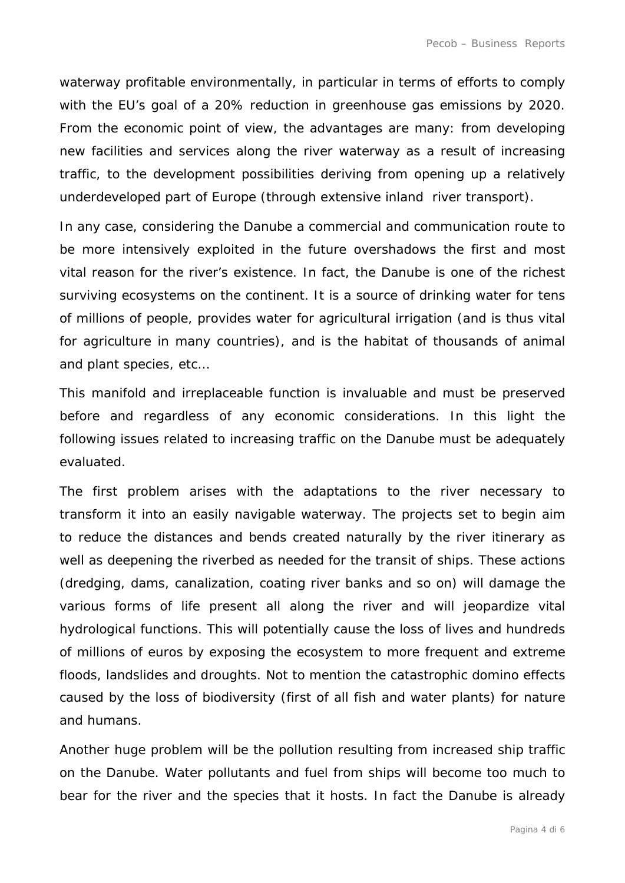waterway profitable environmentally, in particular in terms of efforts to comply with the EU's goal of a 20% reduction in greenhouse gas emissions by 2020. From the economic point of view, the advantages are many: from developing new facilities and services along the river waterway as a result of increasing traffic, to the development possibilities deriving from opening up a relatively underdeveloped part of Europe (through extensive inland river transport).

In any case, considering the Danube a commercial and communication route to be more intensively exploited in the future overshadows the first and most vital reason for the river's existence. In fact, the Danube is one of the richest surviving ecosystems on the continent. It is a source of drinking water for tens of millions of people, provides water for agricultural irrigation (and is thus vital for agriculture in many countries), and is the habitat of thousands of animal and plant species, etc…

This manifold and irreplaceable function is invaluable and must be preserved before and regardless of any economic considerations. In this light the following issues related to increasing traffic on the Danube must be adequately evaluated.

The first problem arises with the adaptations to the river necessary to transform it into an easily navigable waterway. The projects set to begin aim to reduce the distances and bends created naturally by the river itinerary as well as deepening the riverbed as needed for the transit of ships. These actions (dredging, dams, canalization, coating river banks and so on) will damage the various forms of life present all along the river and will jeopardize vital hydrological functions. This will potentially cause the loss of lives and hundreds of millions of euros by exposing the ecosystem to more frequent and extreme floods, landslides and droughts. Not to mention the catastrophic domino effects caused by the loss of biodiversity (first of all fish and water plants) for nature and humans.

Another huge problem will be the pollution resulting from increased ship traffic on the Danube. Water pollutants and fuel from ships will become too much to bear for the river and the species that it hosts. In fact the Danube is already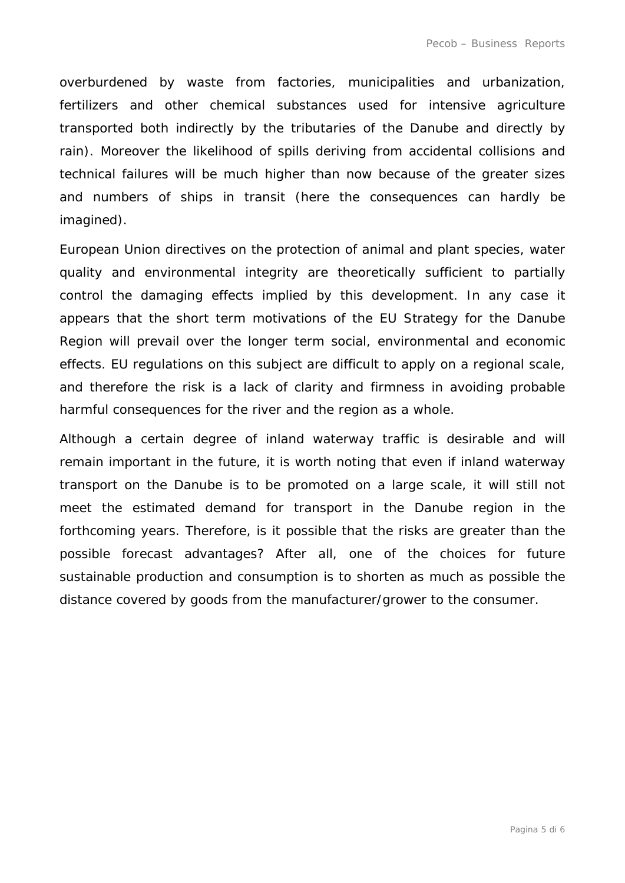overburdened by waste from factories, municipalities and urbanization, fertilizers and other chemical substances used for intensive agriculture transported both indirectly by the tributaries of the Danube and directly by rain). Moreover the likelihood of spills deriving from accidental collisions and technical failures will be much higher than now because of the greater sizes and numbers of ships in transit (here the consequences can hardly be imagined).

European Union directives on the protection of animal and plant species, water quality and environmental integrity are theoretically sufficient to partially control the damaging effects implied by this development. In any case it appears that the short term motivations of the EU Strategy for the Danube Region will prevail over the longer term social, environmental and economic effects. EU regulations on this subject are difficult to apply on a regional scale, and therefore the risk is a lack of clarity and firmness in avoiding probable harmful consequences for the river and the region as a whole.

Although a certain degree of inland waterway traffic is desirable and will remain important in the future, it is worth noting that even if inland waterway transport on the Danube is to be promoted on a large scale, it will still not meet the estimated demand for transport in the Danube region in the forthcoming years. Therefore, is it possible that the risks are greater than the possible forecast advantages? After all, one of the choices for future sustainable production and consumption is to shorten as much as possible the distance covered by goods from the manufacturer/grower to the consumer.